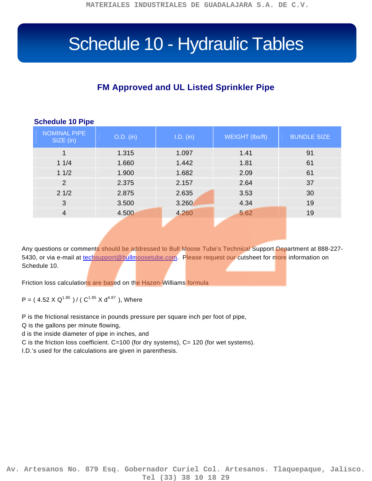## Schedule 10 - Hydraulic Tables

## **FM Approved and UL Listed Sprinkler Pipe**

| <b>Schedule 10 Pipe</b> |  |  |  |
|-------------------------|--|--|--|
|-------------------------|--|--|--|

| <b>NOMINAL PIPE</b><br>SIZE (in) | $O.D.$ (in) | I.D. (in) | WEIGHT (lbs/ft) | <b>BUNDLE SIZE</b> |
|----------------------------------|-------------|-----------|-----------------|--------------------|
| 1                                | 1.315       | 1.097     | 1.41            | 91                 |
| 11/4                             | 1.660       | 1.442     | 1.81            | 61                 |
| 11/2                             | 1.900       | 1.682     | 2.09            | 61                 |
| 2                                | 2.375       | 2.157     | 2.64            | 37                 |
| 21/2                             | 2.875       | 2.635     | 3.53            | 30                 |
| 3                                | 3.500       | 3.260     | 4.34            | 19                 |
| $\overline{4}$                   | 4.500       | 4.260     | 5.62            | 19                 |
|                                  |             |           |                 |                    |

Any questions or comments should be addressed to Bull Moose Tube's Technical Support Department at 888-227 5430, or via e-mail at [techsupport@bullmoosetube.com.](mailto:techsupport@bullmoosetube.com) Please request our cutsheet for more information on Schedule 10.

Friction loss calculations are based on the Hazen-Williams formula

P = ( 4.52 X Q<sup>1.85</sup> ) / ( C<sup>1.85</sup> X d<sup>4.87</sup> ), Where

P is the frictional resistance in pounds pressure per square inch per foot of pipe,

Q is the gallons per minute flowing,

d is the inside diameter of pipe in inches, and

C is the friction loss coefficient. C=100 (for dry systems), C= 120 (for wet systems).

I.D.'s used for the calculations are given in parenthesis.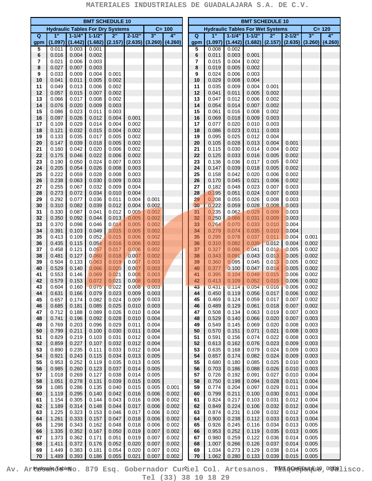|          | <b>BMT SCHEDULE 10</b>                  |                |                            |                |                |                               |                |  |                                         | <b>BMT SCHEDULE 10</b> |                  |                |                     |                |                |         |  |
|----------|-----------------------------------------|----------------|----------------------------|----------------|----------------|-------------------------------|----------------|--|-----------------------------------------|------------------------|------------------|----------------|---------------------|----------------|----------------|---------|--|
|          | <b>Hydraulic Tables For Dry Systems</b> |                |                            |                |                |                               | $C = 100$      |  | <b>Hydraulic Tables For Wet Systems</b> |                        |                  |                |                     |                | $C = 120$      |         |  |
| Q        | 1"                                      | $1 - 1/4$ "    | $1 - 1/2$                  | 2"             | $2 - 1/2"$     | 3"                            | 4"             |  | $\overline{Q}$                          | 1"                     | $1 - 1/4$        | $1 - 1/2"$     | 2"                  | $2 - 1/2"$     | 3"             | 4"      |  |
| gpm<br>5 | (1.097)<br>0.011                        | 0.003          | $(1.442)$ (1.682)<br>0.001 | (2.157)        |                | $(2.635)$ $(3.260)$ $(4.260)$ |                |  | gpm<br>5                                | (1.097)<br>0.008       | (1.442)<br>0.002 |                | $(1.682)$ $(2.157)$ | (2.635)        | (3.260)        | (4.260) |  |
| 6        | 0.016                                   | 0.004          | 0.002                      |                |                |                               |                |  | 6                                       | 0.011                  | 0.003            | 0.001          |                     |                |                |         |  |
| 7        | 0.021                                   | 0.006          | 0.003                      |                |                |                               |                |  | 7                                       | 0.015                  | 0.004            | 0.002          |                     |                |                |         |  |
| 8        | 0.027                                   | 0.007          | 0.003                      |                |                |                               |                |  | 8                                       | 0.019                  | 0.005            | 0.002          |                     |                |                |         |  |
| 9<br>10  | 0.033<br>0.041                          | 0.009<br>0.011 | 0.004<br>0.005             | 0.001<br>0.002 |                |                               |                |  | 9<br>10                                 | 0.024<br>0.029         | 0.006<br>0.008   | 0.003<br>0.004 |                     |                |                |         |  |
| 11       | 0.049                                   | 0.013          | 0.006                      | 0.002          |                |                               |                |  | 11                                      | 0.035                  | 0.009            | 0.004          | 0.001               |                |                |         |  |
| 12       | 0.057                                   | 0.015          | 0.007                      | 0.002          |                |                               |                |  | 12                                      | 0.041                  | 0.011            | 0.005          | 0.002               |                |                |         |  |
| 13       | 0.066                                   | 0.017          | 0.008                      | 0.002          |                |                               |                |  | 13                                      | 0.047                  | 0.012            | 0.006          | 0.002<br>0.002      |                |                |         |  |
| 14<br>15 | 0.076<br>0.086                          | 0.020<br>0.023 | 0.009<br>0.011             | 0.003<br>0.003 |                |                               |                |  | 14<br>15                                | 0.054<br>0.061         | 0.014<br>0.016   | 0.007<br>0.008 | 0.002               |                |                |         |  |
| 16       | 0.097                                   | 0.026          | 0.012                      | 0.004          | 0.001          |                               |                |  | 16                                      | 0.069                  | 0.018            | 0.009          | 0.003               |                |                |         |  |
| 17       | 0.109                                   | 0.029          | 0.014                      | 0.004          | 0.002          |                               |                |  | 17                                      | 0.077                  | 0.020            | 0.010          | 0.003               |                |                |         |  |
| 18       | 0.121                                   | 0.032          | 0.015                      | 0.004          | 0.002          |                               |                |  | 18                                      | 0.086                  | 0.023            | 0.011          | 0.003               |                |                |         |  |
| 19<br>20 | 0.133<br>0.147                          | 0.035<br>0.039 | 0.017<br>0.018             | 0.005<br>0.005 | 0.002<br>0.002 |                               |                |  | 19<br>20                                | 0.095<br>0.105         | 0.025<br>0.028   | 0.012<br>0.013 | 0.004<br>0.004      | 0.001          |                |         |  |
| 21       | 0.160                                   | 0.042          | 0.020                      | 0.006          | 0.002          |                               |                |  | 21                                      | 0.115                  | 0.030            | 0.014          | 0.004               | 0.002          |                |         |  |
| 22       | 0.175                                   | 0.046          | 0.022                      | 0.006          | 0.002          |                               |                |  | 22                                      | 0.125                  | 0.033            | 0.016          | 0.005               | 0.002          |                |         |  |
| 23       | 0.190                                   | 0.050          | 0.024                      | 0.007          | 0.003          |                               |                |  | 23                                      | 0.136                  | 0.036            | 0.017          | 0.005               | 0.002          |                |         |  |
| 24       | 0.205<br>0.222                          | 0.054<br>0.059 | 0.026                      | 0.008          | 0.003<br>0.003 |                               |                |  | 24                                      | 0.147                  | 0.039            | 0.018          | 0.005               | 0.002          |                |         |  |
| 25<br>26 | 0.238                                   | 0.063          | 0.028<br>0.030             | 0.008<br>0.009 | 0.003          |                               |                |  | 25<br>26                                | 0.158<br>0.170         | 0.042<br>0.045   | 0.020<br>0.021 | 0.006<br>0.006      | 0.002<br>0.002 |                |         |  |
| 27       | 0.255                                   | 0.067          | 0.032                      | 0.009          | 0.004          |                               |                |  | 27                                      | 0.182                  | 0.048            | 0.023          | 0.007               | 0.003          |                |         |  |
| 28       | 0.273                                   | 0.072          | 0.034                      | 0.010          | 0.004          |                               |                |  | 28                                      | 0.195                  | 0.051            | 0.024          | 0.007               | 0.003          |                |         |  |
| 29       | 0.292                                   | 0.077          | 0.036                      | 0.011          | 0.004          | 0.001                         |                |  | 29                                      | 0.208                  | 0.055            | 0.026          | 0.008               | 0.003          |                |         |  |
| 30<br>31 | 0.310<br>0.330                          | 0.082<br>0.087 | 0.039<br>0.041             | 0.012<br>0.012 | 0.004<br>0.005 | 0.002<br>0.002                |                |  | 30<br>31                                | 0.222<br>0.235         | 0.059<br>0.062   | 0.028<br>0.029 | 0.008<br>0.009      | 0.003<br>0.003 |                |         |  |
| 32       | 0.350                                   | 0.092          | 0.044                      | 0.013          | 0.005          | 0.002                         |                |  | 32                                      | 0.250                  | 0.066            | 0.031          | 0.009               | 0.003          |                |         |  |
| 33       | 0.370                                   | 0.098          | 0.046                      | 0.014          | 0.005          | 0.002                         |                |  | 33                                      | 0.264                  | 0.070            | 0.033          | 0.010               | 0.004          |                |         |  |
| 34       | 0.391                                   | 0.103          | 0.049                      | 0.015          | 0.005          | 0.002                         |                |  | 34                                      | 0.279                  | 0.074            | 0.035          | 0.010               | 0.004          |                |         |  |
| 35       | 0.413                                   | 0.109          | 0.052                      | 0.015          | 0.006          | 0.002                         |                |  | 35                                      | 0.295                  | 0.078            | 0.037          | 0.011               | 0.004          | 0.001          |         |  |
| 36<br>37 | 0.435<br>0.458                          | 0.115<br>0.121 | 0.054<br>0.057             | 0.016<br>0.017 | 0.006<br>0.006 | 0.002<br>0.002                |                |  | 36<br>37                                | 0.310<br>0.327         | 0.082<br>0.086   | 0.039<br>0.041 | 0.012<br>0.012      | 0.004<br>0.005 | 0.002<br>0.002 |         |  |
| 38       | 0.481                                   | 0.127          | 0.060                      | 0.018          | 0.007          | 0.002                         |                |  | 38                                      | 0.343                  | 0.091            | 0.043          | 0.013               | 0.005          | 0.002          |         |  |
| 39       | 0.504                                   | 0.133          | 0.063                      | 0.019          | 0.007          | 0.003                         |                |  | 39                                      | 0.360                  | 0.095            | 0.045          | 0.013               | 0.005          | 0.002          |         |  |
| 40       | 0.529                                   | 0.140          | 0.066                      | 0.020          | 0.007          | 0.003                         |                |  | 40                                      | 0.377                  | 0.100            | 0.047          | 0.014               | 0.005          | 0.002          |         |  |
| 41<br>42 | 0.553<br>0.579                          | 0.146<br>0.153 | 0.069<br>0.072             | 0.021<br>0.021 | 0.008<br>0.008 | 0.003<br>0.003                |                |  | 41<br>42                                | 0.395<br>0.413         | 0.104<br>0.109   | 0.049<br>0.052 | 0.015<br>0.015      | 0.006<br>0.006 | 0.002<br>0.002 |         |  |
| 43       | 0.604                                   | 0.160          | 0.075                      | 0.022          | 0.008          | 0.003                         |                |  | 43                                      | 0.431                  | 0.114            | 0.054          | 0.016               | 0.006          | 0.002          |         |  |
| 44       | 0.631                                   | 0.166          | 0.079                      | 0.023          | 0.009          | 0.003                         |                |  | 44                                      | 0.450                  | 0.119            | 0.056          | 0.017               | 0.006          | 0.002          |         |  |
| 45       | 0.657                                   | 0.174          | 0.082                      | 0.024          | 0.009          | 0.003                         |                |  | 45                                      | 0.469                  | 0.124            | 0.059          | 0.017               | 0.007          | 0.002          |         |  |
| 46<br>47 | 0.685<br>0.712                          | 0.181<br>0.188 | 0.085<br>0.089             | 0.025<br>0.026 | 0.010<br>0.010 | 0.003<br>0.004                |                |  | 46<br>47                                | 0.489<br>0.508         | 0.129<br>0.134   | 0.061<br>0.063 | 0.018<br>0.019      | 0.007<br>0.007 | 0.002<br>0.003 |         |  |
| 48       | 0.741                                   | 0.196          | 0.092                      | 0.028          | 0.010          | 0.004                         |                |  | 48                                      | 0.529                  | 0.140            | 0.066          | 0.020               | 0.007          | 0.003          |         |  |
| 49       | 0.769                                   | 0.203          | 0.096                      | 0.029          | 0.011          | 0.004                         |                |  | 49                                      | 0.549                  | 0.145            | 0.069          | 0.020               | 0.008          | 0.003          |         |  |
| 50       | 0.799                                   | 0.211          | 0.100                      | 0.030          | 0.011          | 0.004                         |                |  | 50                                      | 0.570                  | 0.151            | 0.071          | 0.021               | 0.008          | 0.003          |         |  |
| 51<br>52 | 0.829<br>0.859                          | 0.219<br>0.227 | 0.103<br>0.107             | 0.031<br>0.032 | 0.012<br>0.012 | 0.004<br>0.004                |                |  | 51<br>52                                | 0.591<br>0.613         | 0.156<br>0.162   | 0.074<br>0.076 | 0.022<br>0.023      | 0.008<br>0.009 | 0.003<br>0.003 |         |  |
| 53       | 0.890                                   | 0.235          | 0.111                      | 0.033          | 0.012          | 0.004                         |                |  | 53                                      | 0.635                  | 0.168            | 0.079          | 0.024               | 0.009          | 0.003          |         |  |
| 54       | 0.921                                   | 0.243          | 0.115                      | 0.034          | 0.013          | 0.005                         |                |  | 54                                      | 0.657                  | 0.174            | 0.082          | 0.024               | 0.009          | 0.003          |         |  |
| 55       | 0.953                                   | 0.252          | 0.119                      | 0.035          | 0.013          | 0.005                         |                |  | 55                                      | 0.680                  | 0.180            | 0.085          | 0.025               | 0.010          | 0.003          |         |  |
| 56       | 0.985                                   | 0.260          | 0.123                      | 0.037          | 0.014          | 0.005                         |                |  | 56                                      | 0.703                  | 0.186            | 0.088          | 0.026               | 0.010          | 0.003          |         |  |
| 57<br>58 | 1.018<br>1.051                          | 0.269<br>0.278 | 0.127<br>0.131             | 0.038<br>0.039 | 0.014<br>0.015 | 0.005<br>0.005                |                |  | 57<br>58                                | 0.726<br>0.750         | 0.192<br>0.198   | 0.091<br>0.094 | 0.027<br>0.028      | 0.010<br>0.011 | 0.004<br>0.004 |         |  |
| 59       | 1.085                                   | 0.286          | 0.135                      | 0.040          | 0.015          | 0.005                         | 0.001          |  | 59                                      | 0.774                  | 0.204            | 0.097          | 0.029               | 0.011          | 0.004          |         |  |
| 60       | 1.119                                   | 0.295          | 0.140                      | 0.042          | 0.016          | 0.006                         | 0.002          |  | 60                                      | 0.799                  | 0.211            | 0.100          | 0.030               | 0.011          | 0.004          |         |  |
| 61       | 1.154                                   | 0.305          | 0.144                      | 0.043          | 0.016          | 0.006                         | 0.002          |  | 61                                      | 0.824                  | 0.217            | 0.103          | 0.031               | 0.012          | 0.004          |         |  |
| 62<br>63 | 1.189<br>1.225                          | 0.314<br>0.323 | 0.148<br>0.153             | 0.044<br>0.046 | 0.017<br>0.017 | 0.006<br>0.006                | 0.002<br>0.002 |  | 62<br>63                                | 0.849<br>0.874         | 0.224<br>0.231   | 0.106<br>0.109 | 0.032<br>0.032      | 0.012<br>0.012 | 0.004<br>0.004 |         |  |
| 64       | 1.261                                   | 0.333          | 0.157                      | 0.047          | 0.018          | 0.006                         | 0.002          |  | 64                                      | 0.900                  | 0.238            | 0.112          | 0.033               | 0.013          | 0.004          |         |  |
| 65       | 1.298                                   | 0.343          | 0.162                      | 0.048          | 0.018          | 0.006                         | 0.002          |  | 65                                      | 0.926                  | 0.245            | 0.116          | 0.034               | 0.013          | 0.005          |         |  |
| 66       | 1.335                                   | 0.352          | 0.167                      | 0.050          | 0.019          | 0.007                         | 0.002          |  | 66                                      | 0.953                  | 0.252            | 0.119          | 0.035               | 0.013          | 0.005          |         |  |
| 67       | 1.373                                   | 0.362          | 0.171                      | 0.051          | 0.019          | 0.007                         | 0.002          |  | 67                                      | 0.980                  | 0.259            | 0.122          | 0.036               | 0.014          | 0.005          |         |  |
| 68<br>69 | 1.411<br>1.449                          | 0.372<br>0.383 | 0.176<br>0.181             | 0.052<br>0.054 | 0.020<br>0.020 | 0.007<br>0.007                | 0.002<br>0.002 |  | 68<br>69                                | 1.007<br>1.034         | 0.266<br>0.273   | 0.126<br>0.129 | 0.037<br>0.038      | 0.014<br>0.014 | 0.005<br>0.005 |         |  |
| 70       | 1.489                                   | 0.393          | 0.186                      | 0.055          | 0.021          | 0.007                         | 0.002          |  | 70                                      | 1.062                  | 0.280            | 0.133          | 0.039               | 0.015          | 0.005          |         |  |

Av. Ar**tydsulid a**bleno. 879 Esq. Gobernador Curlel Col. Artesanos. BM S Gulpul Eu , O W Blisco. **Tel (33) 38 10 18 29**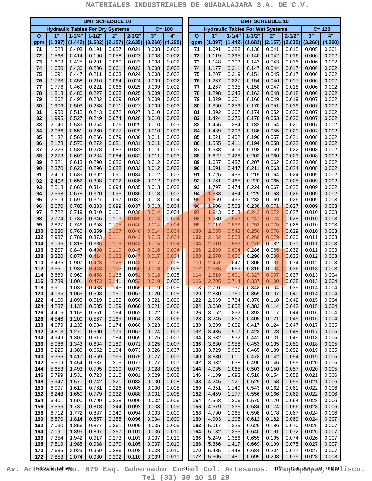|                | <b>BMT SCHEDULE 10</b>                  |                        |                       |                |                       |                |                             |  |                         | <b>BMT SCHEDULE 10</b>                  |                       |                       |                |                       |                |                |  |  |
|----------------|-----------------------------------------|------------------------|-----------------------|----------------|-----------------------|----------------|-----------------------------|--|-------------------------|-----------------------------------------|-----------------------|-----------------------|----------------|-----------------------|----------------|----------------|--|--|
|                | <b>Hydraulic Tables For Dry Systems</b> |                        |                       |                |                       |                | $C = 100$                   |  |                         | <b>Hydraulic Tables For Wet Systems</b> |                       |                       |                |                       |                | $C = 120$      |  |  |
| $\overline{Q}$ | 1"<br>(1.097)                           | $1 - 1/4$ "<br>(1.442) | $1 - 1/2"$<br>(1.682) | 2"<br>(2.157)  | $2 - 1/2"$<br>(2.635) | 3"<br>(3.260)  | $\overline{4}$ "<br>(4.260) |  | $\overline{\mathbf{Q}}$ | 1"<br>(1.097)                           | $1 - 1/4"$<br>(1.442) | $1 - 1/2"$<br>(1.682) | 2"<br>(2.157)  | $2 - 1/2"$<br>(2.635) | 3"<br>(3.260)  | 4"<br>(4.260)  |  |  |
| gpm<br>71      | 1.528                                   | 0.403                  | 0.191                 | 0.057          | 0.021                 | 0.008          | 0.002                       |  | gpm<br>71               | 1.091                                   | 0.288                 | 0.136                 | 0.041          | 0.015                 | 0.005          | 0.001          |  |  |
| 72             | 1.568                                   | 0.414                  | 0.196                 | 0.058          | 0.022                 | 0.008          | 0.002                       |  | 72                      | 1.119                                   | 0.295                 | 0.140                 | 0.042          | 0.016                 | 0.006          | 0.002          |  |  |
| 73             | 1.609                                   | 0.425                  | 0.201                 | 0.060          | 0.023                 | 0.008          | 0.002                       |  | 73                      | 1.148                                   | 0.303                 | 0.143                 | 0.043          | 0.016                 | 0.006          | 0.002          |  |  |
| 74<br>75       | 1.650<br>1.691                          | 0.436<br>0.447         | 0.206<br>0.211        | 0.061<br>0.063 | 0.023<br>0.024        | 0.008<br>0.008 | 0.002<br>0.002              |  | 74<br>75                | 1.177<br>1.207                          | 0.311<br>0.319        | 0.147<br>0.151        | 0.044<br>0.045 | 0.017<br>0.017        | 0.006<br>0.006 | 0.002<br>0.002 |  |  |
| 76             | 1.733                                   | 0.458                  | 0.216                 | 0.064          | 0.024                 | 0.009          | 0.002                       |  | 76                      | 1.237                                   | 0.327                 | 0.154                 | 0.046          | 0.017                 | 0.006          | 0.002          |  |  |
| 77             | 1.776                                   | 0.469                  | 0.221                 | 0.066          | 0.025                 | 0.009          | 0.002                       |  | 77                      | 1.267                                   | 0.335                 | 0.158                 | 0.047          | 0.018                 | 0.006          | 0.002          |  |  |
| 78             | 1.818                                   | 0.480                  | 0.227                 | 0.068          | 0.025                 | 0.009          | 0.002                       |  | 78                      | 1.298                                   | 0.343                 | 0.162                 | 0.048          | 0.018                 | 0.006          | 0.002          |  |  |
| 79<br>80       | 1.862<br>1.906                          | 0.492<br>0.503         | 0.232<br>0.238        | 0.069<br>0.071 | 0.026<br>0.027        | 0.009<br>0.009 | 0.003<br>0.003              |  | 79<br>80                | 1.329<br>1.360                          | 0.351<br>0.359        | 0.166<br>0.170        | 0.049<br>0.051 | 0.019<br>0.019        | 0.007<br>0.007 | 0.002<br>0.002 |  |  |
| 81             | 1.950                                   | 0.515                  | 0.243                 | 0.072          | 0.027                 | 0.010          | 0.003                       |  | 81                      | 1.392                                   | 0.367                 | 0.174                 | 0.052          | 0.020                 | 0.007          | 0.002          |  |  |
| 82             | 1.995                                   | 0.527                  | 0.249                 | 0.074          | 0.028                 | 0.010          | 0.003                       |  | 82                      | 1.424                                   | 0.376                 | 0.178                 | 0.053          | 0.020                 | 0.007          | 0.002          |  |  |
| 83<br>84       | 2.040<br>2.086                          | 0.539<br>0.551         | 0.254<br>0.260        | 0.076<br>0.077 | 0.029<br>0.029        | 0.010<br>0.010 | 0.003<br>0.003              |  | 83<br>84                | 1.456<br>1.489                          | 0.384<br>0.393        | 0.182<br>0.186        | 0.054<br>0.055 | 0.020<br>0.021        | 0.007<br>0.007 | 0.002<br>0.002 |  |  |
| 85             | 2.132                                   | 0.563                  | 0.266                 | 0.079          | 0.030                 | 0.011          | 0.003                       |  | 85                      | 1.521                                   | 0.402                 | 0.190                 | 0.057          | 0.021                 | 0.008          | 0.002          |  |  |
| 86             | 2.178                                   | 0.575                  | 0.272                 | 0.081          | 0.031                 | 0.011          | 0.003                       |  | 86                      | 1.555                                   | 0.411                 | 0.194                 | 0.058          | 0.022                 | 0.008          | 0.002          |  |  |
| 87             | 2.226                                   | 0.588                  | 0.278                 | 0.083          | 0.031                 | 0.011          | 0.003                       |  | 87                      | 1.588                                   | 0.419                 | 0.198                 | 0.059          | 0.022                 | 0.008          | 0.002          |  |  |
| 88<br>89       | 2.273<br>2.321                          | 0.600<br>0.613         | 0.284<br>0.290        | 0.084<br>0.086 | 0.032<br>0.033        | 0.011<br>0.012 | 0.003<br>0.003              |  | 88<br>89                | 1.622<br>1.657                          | 0.428<br>0.437        | 0.202<br>0.207        | 0.060<br>0.062 | 0.023<br>0.023        | 0.008<br>0.008 | 0.002<br>0.002 |  |  |
| 90             | 2.370                                   | 0.626                  | 0.296                 | 0.088          | 0.033                 | 0.012          | 0.003                       |  | 90                      | 1.691                                   | 0.447                 | 0.211                 | 0.063          | 0.024                 | 0.008          | 0.002          |  |  |
| 91             | 2.419                                   | 0.639                  | 0.302                 | 0.090          | 0.034                 | 0.012          | 0.003                       |  | 91                      | 1.726                                   | 0.456                 | 0.215                 | 0.064          | 0.024                 | 0.009          | 0.002          |  |  |
| 92             | 2.468                                   | 0.652                  | 0.308                 | 0.092          | 0.035                 | 0.012          | 0.003                       |  | 92                      | 1.761                                   | 0.465                 | 0.220                 | 0.065          | 0.025                 | 0.009          | 0.002          |  |  |
| 93<br>94       | 2.518<br>2.568                          | 0.665<br>0.678         | 0.314<br>0.320        | 0.094<br>0.095 | 0.035<br>0.036        | 0.013<br>0.013 | 0.003<br>0.003              |  | 93<br>94                | 1.797<br>1.833                          | 0.474<br>0.484        | 0.224<br>0.229        | 0.067<br>0.068 | 0.025<br>0.026        | 0.009<br>0.009 | 0.002<br>0.002 |  |  |
| 95             | 2.619                                   | 0.691                  | 0.327                 | 0.097          | 0.037                 | 0.013          | 0.004                       |  | 95                      | 1.869                                   | 0.493                 | 0.233                 | 0.069          | 0.026                 | 0.009          | 0.003          |  |  |
| 96             | 2.670                                   | 0.705                  | 0.333                 | 0.099          | 0.037                 | 0.013          | 0.004                       |  | 96                      | 1.906                                   | 0.503                 | 0.238                 | 0.071          | 0.027                 | 0.009          | 0.003          |  |  |
| 97             | 2.722                                   | 0.719                  | 0.340                 | 0.101          | 0.038                 | 0.014          | 0.004                       |  | 97                      | 1.943                                   | 0.513                 | 0.242                 | 0.072          | 0.027                 | 0.010          | 0.003          |  |  |
| 98<br>99       | 2.774<br>2.827                          | 0.732<br>0.746         | 0.346<br>0.353        | 0.103<br>0.105 | 0.039<br>0.040        | 0.014<br>0.014 | 0.004<br>0.004              |  | 98<br>99                | 1.980<br>2.017                          | 0.523<br>0.533        | 0.247<br>0.252        | 0.074<br>0.075 | 0.028<br>0.028        | 0.010<br>0.010 | 0.003<br>0.003 |  |  |
| 100            | 2.880                                   | 0.760                  | 0.359                 | 0.107          | 0.040                 | 0.014          | 0.004                       |  | 100                     | 2.055                                   | 0.543                 | 0.256                 | 0.076          | 0.029                 | 0.010          | 0.003          |  |  |
| 102            | 2.987                                   | 0.789                  | 0.373                 | 0.111          | 0.042                 | 0.015          | 0.004                       |  | 102                     | 2.132                                   | 0.563                 | 0.266                 | 0.079          | 0.030                 | 0.011          | 0.003          |  |  |
| 104<br>106     | 3.096<br>3.207                          | 0.818<br>0.847         | 0.386<br>0.400        | 0.115<br>0.119 | 0.043<br>0.045        | 0.015<br>0.016 | 0.004<br>0.004              |  | 104<br>106              | 2.210<br>2.289                          | 0.583<br>0.604        | 0.276<br>0.286        | 0.082<br>0.085 | 0.031<br>0.032        | 0.011<br>0.011 | 0.003<br>0.003 |  |  |
| 108            | 3.320                                   | 0.877                  | 0.414                 | 0.123          | 0.047                 | 0.017          | 0.004                       |  | 108                     | 2.370                                   | 0.626                 | 0.296                 | 0.088          | 0.033                 | 0.012          | 0.003          |  |  |
| 110            | 3.435                                   | 0.907                  | 0.428                 | 0.128          | 0.048                 | 0.017          | 0.005                       |  | 110                     | 2.451                                   | 0.647                 | 0.306                 | 0.091          | 0.034                 | 0.012          | 0.003          |  |  |
| 112            | 3.551                                   | 0.938                  | 0.443                 | 0.132          | 0.050                 | 0.018          | 0.005                       |  | 112                     | 2.535                                   | 0.669                 | 0.316                 | 0.094          | 0.036                 | 0.013          | 0.003          |  |  |
| 114<br>116     | 3.669<br>3.789                          | 0.969<br>1.001         | 0.458<br>0.473        | 0.136<br>0.141 | 0.051<br>0.053        | 0.018<br>0.019 | 0.005<br>0.005              |  | 114<br>116              | 2.619<br>2.705                          | 0.691<br>0.714        | 0.327<br>0.337        | 0.097<br>0.100 | 0.037<br>0.038        | 0.013<br>0.013 | 0.004<br>0.004 |  |  |
| 118            | 3.911                                   | 1.033                  | 0.488                 | 0.145          | 0.055                 | 0.019          | 0.005                       |  | 118                     | 2.791                                   | 0.737                 | 0.348                 | 0.104          | 0.039                 | 0.014          | 0.004          |  |  |
| 120            | 4.035                                   | 1.065                  | 0.503                 | 0.150          | 0.057                 | 0.020          | 0.005                       |  | 120                     | 2.880                                   | 0.760                 | 0.359                 | 0.107          | 0.040                 | 0.014          | 0.004          |  |  |
| 122<br>124     | 4.160<br>4.287                          | 1.098<br>1.132         | 0.519<br>0.535        | 0.155<br>0.159 | 0.058<br>0.060        | 0.021<br>0.021 | 0.006<br>0.006              |  | 122<br>124              | 2.969<br>3.060                          | 0.784<br>0.808        | 0.370<br>0.382        | 0.110<br>0.114 | 0.042<br>0.043        | 0.015<br>0.015 | 0.004<br>0.004 |  |  |
| 126            | 4.416                                   | 1.166                  | 0.551                 | 0.164          | 0.062                 | 0.022          | 0.006                       |  | 126                     | 3.152                                   | 0.832                 | 0.393                 | 0.117          | 0.044                 | 0.016          | 0.004          |  |  |
| 128            | 4.546                                   | 1.200                  | 0.567                 | 0.169          | 0.064                 | 0.023          | 0.006                       |  | 128                     | 3.245                                   | 0.857                 | 0.405                 | 0.121          | 0.045                 | 0.016          | 0.004          |  |  |
| 130            | 4.679                                   | 1.235                  | 0.584                 | 0.174          | 0.066                 | 0.023          | 0.006                       |  | 130                     | 3.339                                   | 0.882                 | 0.417                 | 0.124          | 0.047                 | 0.017          | 0.005          |  |  |
| 132<br>134     | 4.813<br>4.949                          | 1.271<br>1.307         | 0.600<br>0.617        | 0.179<br>0.184 | 0.067<br>0.069        | 0.024<br>0.025 | 0.007<br>0.007              |  | 132<br>134              | 3.435<br>3.532                          | 0.907<br>0.932        | 0.428<br>0.441        | 0.128<br>0.131 | 0.048<br>0.049        | 0.017<br>0.018 | 0.005<br>0.005 |  |  |
| 136            | 5.086                                   | 1.343                  | 0.634                 | 0.189          | 0.071                 | 0.025          | 0.007                       |  | 136                     | 3.630                                   | 0.958                 | 0.453                 | 0.135          | 0.051                 | 0.018          | 0.005          |  |  |
| 138            | 5.225                                   | 1.380                  | 0.652                 | 0.194          | 0.073                 | 0.026          | 0.007                       |  | 138                     | 3.729                                   | 0.985                 | 0.465                 | 0.139          | 0.052                 | 0.019          | 0.005          |  |  |
| 140            | 5.366                                   | 1.417                  | 0.669                 | 0.199          | 0.075<br>0.077        | 0.027          | 0.007                       |  | 140                     | 3.830                                   | 1.011                 | 0.478<br>0.490        | 0.142<br>0.146 | 0.054<br>0.055        | 0.019<br>0.020 | 0.005<br>0.005 |  |  |
| 142<br>144     | 5.509<br>5.653                          | 1.454<br>1.493         | 0.687<br>0.705        | 0.205<br>0.210 | 0.079                 | 0.027<br>0.028 | 0.007<br>0.008              |  | 142<br>144              | 3.932<br>4.035                          | 1.038<br>1.065        | 0.503                 | 0.150          | 0.057                 | 0.020          | 0.005          |  |  |
| 146            | 5.799                                   | 1.531                  | 0.723                 | 0.215          | 0.081                 | 0.029          | 0.008                       |  | 146                     | 4.139                                   | 1.093                 | 0.516                 | 0.154          | 0.058                 | 0.021          | 0.006          |  |  |
| 148            | 5.947                                   | 1.570                  | 0.742                 | 0.221          | 0.083                 | 0.030          | 0.008                       |  | 148                     | 4.245                                   | 1.121                 | 0.529                 | 0.158          | 0.059                 | 0.021          | 0.006          |  |  |
| 150<br>152     | 6.097<br>6.248                          | 1.610<br>1.650         | 0.761<br>0.779        | 0.226<br>0.232 | 0.085<br>0.088        | 0.030<br>0.031 | 0.008<br>0.008              |  | 150<br>152              | 4.351<br>4.459                          | 1.149<br>1.177        | 0.543<br>0.556        | 0.162<br>0.166 | 0.061<br>0.062        | 0.022<br>0.022 | 0.006<br>0.006 |  |  |
| 154            | 6.401                                   | 1.690                  | 0.799                 | 0.238          | 0.090                 | 0.032          | 0.009                       |  | 154                     | 4.568                                   | 1.206                 | 0.570                 | 0.170          | 0.064                 | 0.023          | 0.006          |  |  |
| 156            | 6.556                                   | 1.731                  | 0.818                 | 0.244          | 0.092                 | 0.033          | 0.009                       |  | 156                     | 4.679                                   | 1.235                 | 0.584                 | 0.174          | 0.066                 | 0.023          | 0.006          |  |  |
| 158            | 6.712                                   | 1.772                  | 0.837                 | 0.249          | 0.094                 | 0.033          | 0.009                       |  | 158                     | 4.790                                   | 1.265                 | 0.598                 | 0.178          | 0.067                 | 0.024          | 0.006          |  |  |
| 160<br>162     | 6.870<br>7.030                          | 1.814<br>1.856         | 0.857<br>0.877        | 0.255<br>0.261 | 0.096<br>0.099        | 0.034<br>0.035 | 0.009<br>0.009              |  | 160<br>162              | 4.903<br>5.017                          | 1.295<br>1.325        | 0.612<br>0.626        | 0.182<br>0.186 | 0.069<br>0.070        | 0.024<br>0.025 | 0.007<br>0.007 |  |  |
| 164            | 7.191                                   | 1.899                  | 0.897                 | 0.267          | 0.101                 | 0.036          | 0.010                       |  | 164                     | 5.132                                   | 1.355                 | 0.640                 | 0.191          | 0.072                 | 0.026          | 0.007          |  |  |
| 166            | 7.354                                   | 1.942                  | 0.917                 | 0.273          | 0.103                 | 0.037          | 0.010                       |  | 166                     | 5.249                                   | 1.386                 | 0.655                 | 0.195          | 0.074                 | 0.026          | 0.007          |  |  |
| 168            | 7.519                                   | 1.985<br>2.029         | 0.938<br>0.959        | 0.279          | 0.105<br>0.108        | 0.037<br>0.038 | 0.010                       |  | 168                     | 5.366                                   | 1.417                 | 0.669<br>0.684        | 0.199          | 0.075                 | 0.027<br>0.027 | 0.007<br>0.007 |  |  |
| 170<br>172     | 7.685<br>7.853                          | 2.074                  | 0.980                 | 0.286<br>0.292 | 0.110                 | 0.039          | 0.010<br>0.011              |  | 170<br>172              | 5.485<br>5.605                          | 1.448<br>1.480        | 0.699                 | 0.204<br>0.208 | 0.077<br>0.079        | 0.028          | 0.008          |  |  |

Av. Ar**tydsulid a**bleno. 879 Esq. Gobernador Curiel Col. Artesanos. BM S Gulpul (10,0008lisco. **Tel (33) 38 10 18 29**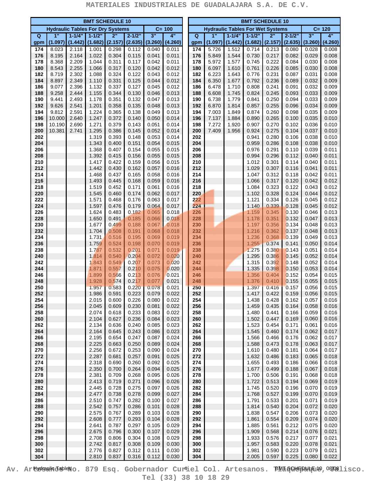|            |                                         |                | <b>BMT SCHEDULE 10</b>     |                  |                  |                  |                  | <b>BMT SCHEDULE 10</b> |                         |                                         |                  |                  |                  |                  |                  |                  |
|------------|-----------------------------------------|----------------|----------------------------|------------------|------------------|------------------|------------------|------------------------|-------------------------|-----------------------------------------|------------------|------------------|------------------|------------------|------------------|------------------|
|            | <b>Hydraulic Tables For Dry Systems</b> |                |                            |                  |                  |                  | $C = 100$        |                        |                         | <b>Hydraulic Tables For Wet Systems</b> |                  |                  |                  |                  |                  | $C = 120$        |
| Q          | 1"                                      | $1 - 1/4$      | $1 - 1/2"$                 | 2"               | $2 - 1/2"$       | 3"               | 4"               |                        | $\overline{\mathbf{Q}}$ | 1"                                      | $1 - 1/4"$       | $1 - 1/2"$       | 2"               | $2 - 1/2"$       | 3"               | 4"               |
| gpm<br>174 | (1.097)<br>8.023                        | 2.118          | $(1.442)$ (1.682)<br>1.001 | (2.157)<br>0.298 | (2.635)<br>0.112 | (3.260)<br>0.040 | (4.260)<br>0.011 |                        | gpm<br>174              | (1.097)<br>5.726                        | (1.442)<br>1.512 | (1.682)<br>0.714 | (2.157)<br>0.213 | (2.635)<br>0.080 | (3.260)<br>0.028 | (4.260)<br>0.008 |
| 176        | 8.195                                   | 2.164          | 1.022                      | 0.304            | 0.115            | 0.041            | 0.011            |                        | 176                     | 5.849                                   | 1.544            | 0.730            | 0.217            | 0.082            | 0.029            | 0.008            |
| 178        | 8.368                                   | 2.209          | 1.044                      | 0.311            | 0.117            | 0.042            | 0.011            |                        | 178                     | 5.972                                   | 1.577            | 0.745            | 0.222            | 0.084            | 0.030            | 0.008            |
| 180        | 8.543                                   | 2.255          | 1.066                      | 0.317            | 0.120            | 0.042            | 0.012            |                        | 180                     | 6.097                                   | 1.610            | 0.761            | 0.226            | 0.085            | 0.030            | 0.008            |
| 182<br>184 | 8.719<br>8.897                          | 2.302<br>2.349 | 1.088<br>1.110             | 0.324<br>0.331   | 0.122<br>0.125   | 0.043<br>0.044   | 0.012<br>0.012   |                        | 182<br>184              | 6.223<br>6.350                          | 1.643<br>1.677   | 0.776<br>0.792   | 0.231<br>0.236   | 0.087<br>0.089   | 0.031<br>0.032   | 0.008<br>0.009   |
| 186        | 9.077                                   | 2.396          | 1.132                      | 0.337            | 0.127            | 0.045            | 0.012            |                        | 186                     | 6.478                                   | 1.710            | 0.808            | 0.241            | 0.091            | 0.032            | 0.009            |
| 188        | 9.258                                   | 2.444          | 1.155                      | 0.344            | 0.130            | 0.046            | 0.013            |                        | 188                     | 6.608                                   | 1.745            | 0.824            | 0.245            | 0.093            | 0.033            | 0.009            |
| 190        | 9.441                                   | 2.493          | 1.178                      | 0.351            | 0.132            | 0.047            | 0.013            |                        | 190                     | 6.738                                   | 1.779            | 0.841            | 0.250            | 0.094            | 0.033            | 0.009            |
| 192<br>194 | 9.626<br>9.812                          | 2.541<br>2.591 | 1.201<br>1.224             | 0.358<br>0.365   | 0.135<br>0.138   | 0.048<br>0.049   | 0.013<br>0.013   |                        | 192<br>194              | 6.870<br>7.003                          | 1.814<br>1.849   | 0.857<br>0.874   | 0.255<br>0.260   | 0.096<br>0.098   | 0.034<br>0.035   | 0.009<br>0.009   |
| 196        | 10.000                                  | 2.640          | 1.247                      | 0.372            | 0.140            | 0.050            | 0.014            |                        | 196                     | 7.137                                   | 1.884            | 0.890            | 0.265            | 0.100            | 0.035            | 0.010            |
| 198        | 10.190                                  | 2.690          | 1.271                      | 0.379            | 0.143            | 0.051            | 0.014            |                        | 198                     | 7.272                                   | 1.920            | 0.907            | 0.270            | 0.102            | 0.036            | 0.010            |
| 200        | 10.381                                  | 2.741          | 1.295                      | 0.386            | 0.145            | 0.052            | 0.014            |                        | 200                     | 7.409                                   | 1.956            | 0.924            | 0.275            | 0.104            | 0.037            | 0.010            |
| 202<br>204 |                                         |                | 1.319<br>1.343             | 0.393<br>0.400   | 0.148<br>0.151   | 0.053<br>0.054   | 0.014<br>0.015   |                        | 202<br>204              |                                         |                  | 0.941<br>0.959   | 0.280<br>0.286   | 0.106<br>0.108   | 0.038<br>0.038   | 0.010<br>0.010   |
| 206        |                                         |                | 1.368                      | 0.407            | 0.154            | 0.055            | 0.015            |                        | 206                     |                                         |                  | 0.976            | 0.291            | 0.110            | 0.039            | 0.011            |
| 208        |                                         |                | 1.392                      | 0.415            | 0.156            | 0.055            | 0.015            |                        | 208                     |                                         |                  | 0.994            | 0.296            | 0.112            | 0.040            | 0.011            |
| 210        |                                         |                | 1.417                      | 0.422            | 0.159            | 0.056            | 0.015            |                        | 210                     |                                         |                  | 1.012            | 0.301            | 0.114            | 0.040            | 0.011            |
| 212        |                                         |                | 1.442                      | 0.430            | 0.162            | 0.057            | 0.016            |                        | 212                     |                                         |                  | 1.029            | 0.307            | 0.116            | 0.041            | 0.011            |
| 214<br>216 |                                         |                | 1.468<br>1.493             | 0.437<br>0.445   | 0.165<br>0.168   | 0.058<br>0.059   | 0.016<br>0.016   |                        | 214<br>216              |                                         |                  | 1.047<br>1.066   | 0.312<br>0.317   | 0.118<br>0.120   | 0.042<br>0.042   | 0.011<br>0.012   |
| 218        |                                         |                | 1.519                      | 0.452            | 0.171            | 0.061            | 0.016            |                        | 218                     |                                         |                  | 1.084            | 0.323            | 0.122            | 0.043            | 0.012            |
| 220        |                                         |                | 1.545                      | 0.460            | 0.174            | 0.062            | 0.017            |                        | 220                     |                                         |                  | 1.102            | 0.328            | 0.124            | 0.044            | 0.012            |
| 222        |                                         |                | 1.571                      | 0.468            | 0.176            | 0.063            | 0.017            |                        | 222                     |                                         |                  | 1.121            | 0.334            | 0.126            | 0.045            | 0.012            |
| 224        |                                         |                | 1.597                      | 0.476            | 0.179            | 0.064            | 0.017            |                        | 224                     |                                         |                  | 1.140            | 0.339            | 0.128            | 0.045            | 0.012            |
| 226<br>228 |                                         |                | 1.624<br>1.650             | 0.483<br>0.491   | 0.182<br>0.185   | 0.065<br>0.066   | 0.018<br>0.018   |                        | 226<br>228              |                                         |                  | 1.159<br>1.178   | 0.345<br>0.351   | 0.130<br>0.132   | 0.046<br>0.047   | 0.013<br>0.013   |
| 230        |                                         |                | 1.677                      | 0.499            | 0.188            | 0.067            | 0.018            |                        | 230                     |                                         |                  | 1.197            | 0.356            | 0.134            | 0.048            | 0.013            |
| 232        |                                         |                | 1.704                      | 0.508            | 0.191            | 0.068            | 0.018            |                        | 232                     |                                         |                  | 1.216            | 0.362            | 0.137            | 0.048            | 0.013            |
| 234        |                                         |                | 1.731                      | 0.516            | 0.195            | 0.069            | 0.019            |                        | 234                     |                                         |                  | 1.236            | 0.368            | 0.139            | 0.049            | 0.013            |
| 236<br>238 |                                         |                | 1.759<br>1.787             | 0.524<br>0.532   | 0.198<br>0.201   | 0.070<br>0.071   | 0.019<br>0.019   |                        | 236<br>238              |                                         |                  | 1.255<br>1.275   | 0.374<br>0.380   | 0.141<br>0.143   | 0.050<br>0.051   | 0.014<br>0.014   |
| 240        |                                         |                | 1.814                      | 0.540            | 0.204            | 0.072            | 0.020            |                        | 240                     |                                         |                  | 1.295            | 0.386            | 0.145            | 0.052            | 0.014            |
| 242        |                                         |                | 1.843                      | 0.549            | 0.207            | 0.073            | 0.020            |                        | 242                     |                                         |                  | 1.315            | 0.392            | 0.148            | 0.052            | 0.014            |
| 244        |                                         |                | 1.871                      | 0.557            | 0.210            | 0.075            | 0.020            |                        | 244                     |                                         |                  | 1.335            | 0.398            | 0.150            | 0.053            | 0.014            |
| 246<br>248 |                                         |                | 1.899<br>1.928             | 0.566<br>0.574   | 0.213<br>0.217   | 0.076<br>0.077   | 0.021<br>0.021   |                        | 246<br>248              |                                         |                  | 1.356<br>1.376   | 0.404<br>0.410   | 0.152<br>0.155   | 0.054<br>0.055   | 0.015<br>0.015   |
| 250        |                                         |                | 1.957                      | 0.583            | 0.220            | 0.078            | 0.021            |                        | 250                     |                                         |                  | 1.397            | 0.416            | 0.157            | 0.056            | 0.015            |
| 252        |                                         |                | 1.986                      | 0.591            | 0.223            | 0.079            | 0.022            |                        | 252                     |                                         |                  | 1.417            | 0.422            | 0.159            | 0.056            | 0.015            |
| 254        |                                         |                | 2.015                      | 0.600            | 0.226            | 0.080            | 0.022            |                        | 254                     |                                         |                  | 1.438            | 0.428            | 0.162            | 0.057            | 0.016            |
| 256        |                                         |                | 2.045                      | 0.609            | 0.230            | 0.081            | 0.022            |                        | 256                     |                                         |                  | 1.459            | 0.435            | 0.164            | 0.058            | 0.016            |
| 258<br>260 |                                         |                | 2.074<br>2.104             | 0.618<br>0.627   | 0.233<br>0.236   | 0.083<br>0.084   | 0.022<br>0.023   |                        | 258<br>260              |                                         |                  | 1.480<br>1.502   | 0.441<br>0.447   | 0.166<br>0.169   | 0.059<br>0.060   | 0.016<br>0.016   |
| 262        |                                         |                | 2.134                      | 0.636            | 0.240            | 0.085            | 0.023            |                        | 262                     |                                         |                  | 1.523            | 0.454            | 0.171            | 0.061            | 0.016            |
| 264        |                                         |                | 2.164                      | 0.645            | 0.243            | 0.086            | 0.023            |                        | 264                     |                                         |                  | 1.545            | 0.460            | 0.174            | 0.062            | 0.017            |
| 266        |                                         |                | 2.195                      | 0.654            | 0.247            | 0.087            | 0.024            |                        | 266                     |                                         |                  | 1.566            | 0.466            | 0.176            | 0.062            | 0.017            |
| 268<br>270 |                                         |                | 2.225<br>2.256             | 0.663<br>0.672   | 0.250<br>0.253   | 0.089<br>0.090   | 0.024<br>0.024   |                        | 268<br>270              |                                         |                  | 1.588<br>1.610   | 0.473<br>0.480   | 0.178<br>0.181   | 0.063<br>0.064   | 0.017<br>0.017   |
| 272        |                                         |                | 2.287                      | 0.681            | 0.257            | 0.091            | 0.025            |                        | 272                     |                                         |                  | 1.632            | 0.486            | 0.183            | 0.065            | 0.018            |
| 274        |                                         |                | 2.318                      | 0.690            | 0.260            | 0.092            | 0.025            |                        | 274                     |                                         |                  | 1.655            | 0.493            | 0.186            | 0.066            | 0.018            |
| 276        |                                         |                | 2.350                      | 0.700            | 0.264            | 0.094            | 0.025            |                        | 276                     |                                         |                  | 1.677            | 0.499            | 0.188            | 0.067            | 0.018            |
| 278<br>280 |                                         |                | 2.381<br>2.413             | 0.709<br>0.719   | 0.268<br>0.271   | 0.095<br>0.096   | 0.026<br>0.026   |                        | 278<br>280              |                                         |                  | 1.700<br>1.722   | 0.506<br>0.513   | 0.191<br>0.194   | 0.068<br>0.069   | 0.018<br>0.019   |
| 282        |                                         |                | 2.445                      | 0.728            | 0.275            | 0.097            | 0.026            |                        | 282                     |                                         |                  | 1.745            | 0.520            | 0.196            | 0.070            | 0.019            |
| 284        |                                         |                | 2.477                      | 0.738            | 0.278            | 0.099            | 0.027            |                        | 284                     |                                         |                  | 1.768            | 0.527            | 0.199            | 0.070            | 0.019            |
| 286        |                                         |                | 2.510                      | 0.747            | 0.282            | 0.100            | 0.027            |                        | 286                     |                                         |                  | 1.791            | 0.533            | 0.201            | 0.071            | 0.019            |
| 288        |                                         |                | 2.542                      | 0.757            | 0.286            | 0.101            | 0.028            |                        | 288                     |                                         |                  | 1.814            | 0.540            | 0.204            | 0.072            | 0.020            |
| 290<br>292 |                                         |                | 2.575<br>2.608             | 0.767<br>0.777   | 0.289<br>0.293   | 0.103<br>0.104   | 0.028<br>0.028   |                        | 290<br>292              |                                         |                  | 1.838<br>1.861   | 0.547<br>0.554   | 0.206<br>0.209   | 0.073<br>0.074   | 0.020<br>0.020   |
| 294        |                                         |                | 2.641                      | 0.787            | 0.297            | 0.105            | 0.029            |                        | 294                     |                                         |                  | 1.885            | 0.561            | 0.212            | 0.075            | 0.020            |
| 296        |                                         |                | 2.675                      | 0.796            | 0.300            | 0.107            | 0.029            |                        | 296                     |                                         |                  | 1.909            | 0.568            | 0.214            | 0.076            | 0.021            |
| 298        |                                         |                | 2.708                      | 0.806            | 0.304            | 0.108            | 0.029            |                        | 298                     |                                         |                  | 1.933            | 0.576            | 0.217            | 0.077            | 0.021            |
| 300<br>302 |                                         |                | 2.742<br>2.776             | 0.817<br>0.827   | 0.308<br>0.312   | 0.109<br>0.111   | 0.030<br>0.030   |                        | 300<br>302              |                                         |                  | 1.957<br>1.981   | 0.583<br>0.590   | 0.220<br>0.223   | 0.078<br>0.079   | 0.021<br>0.021   |
| 304        |                                         |                | 2.810                      | 0.837            | 0.316            | 0.112            | 0.030            |                        | 304                     |                                         |                  | 2.005            | 0.597            | 0.225            | 0.080            | 0.022            |

Av. Ar**tydsulid a**bleno. 879 Esq. Gobernador Curiel Col. Artesanos. BM S Gulpul Eu , O W Blisco. **Tel (33) 38 10 18 29**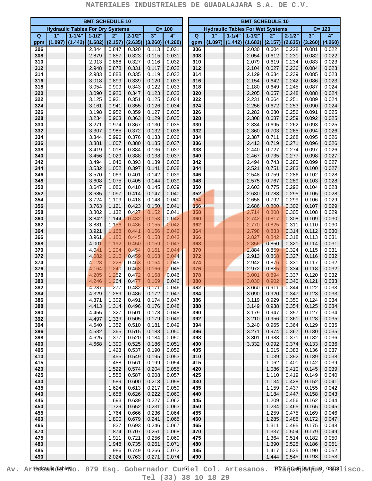| <b>BMT SCHEDULE 10</b> |                                         |                       |                       |                |                      |                |                |  | <b>BMT SCHEDULE 10</b> |                                         |                       |                       |                |                       |                |                             |  |
|------------------------|-----------------------------------------|-----------------------|-----------------------|----------------|----------------------|----------------|----------------|--|------------------------|-----------------------------------------|-----------------------|-----------------------|----------------|-----------------------|----------------|-----------------------------|--|
|                        | <b>Hydraulic Tables For Dry Systems</b> |                       |                       |                |                      |                | $C = 100$      |  |                        | <b>Hydraulic Tables For Wet Systems</b> |                       |                       |                |                       |                | $C = 120$                   |  |
| Q<br>gpm               | 1"<br>(1.097)                           | $1 - 1/4"$<br>(1.442) | $1 - 1/2"$<br>(1.682) | 2"<br>(2.157)  | $2 - 1/2$<br>(2.635) | 3"<br>(3.260)  | 4"<br>(4.260)  |  | $\overline{Q}$<br>gpm  | 1"<br>(1.097)                           | $1 - 1/4"$<br>(1.442) | $1 - 1/2"$<br>(1.682) | 2"<br>(2.157)  | $2 - 1/2"$<br>(2.635) | 3"<br>(3.260)  | $\overline{4}$ "<br>(4.260) |  |
| 306                    |                                         |                       | 2.844                 | 0.847          | 0.320                | 0.113          | 0.031          |  | 306                    |                                         |                       | 2.030                 | 0.604          | 0.228                 | 0.081          | 0.022                       |  |
| 308                    |                                         |                       | 2.879                 | 0.857          | 0.323                | 0.115          | 0.031          |  | 308                    |                                         |                       | 2.054                 | 0.612          | 0.231                 | 0.082          | 0.022                       |  |
| 310                    |                                         |                       | 2.913<br>2.948        | 0.868          | 0.327                | 0.116          | 0.032          |  | 310                    |                                         |                       | 2.079                 | 0.619          | 0.234                 | 0.083          | 0.023                       |  |
| 312<br>314             |                                         |                       | 2.983                 | 0.878<br>0.888 | 0.331<br>0.335       | 0.117<br>0.119 | 0.032<br>0.032 |  | 312<br>314             |                                         |                       | 2.104<br>2.129        | 0.627<br>0.634 | 0.236<br>0.239        | 0.084<br>0.085 | 0.023<br>0.023              |  |
| 316                    |                                         |                       | 3.018                 | 0.899          | 0.339                | 0.120          | 0.033          |  | 316                    |                                         |                       | 2.154                 | 0.642          | 0.242                 | 0.086          | 0.023                       |  |
| 318                    |                                         |                       | 3.054                 | 0.909          | 0.343                | 0.122          | 0.033          |  | 318                    |                                         |                       | 2.180                 | 0.649          | 0.245                 | 0.087          | 0.024                       |  |
| 320<br>322             |                                         |                       | 3.090<br>3.125        | 0.920<br>0.931 | 0.347<br>0.351       | 0.123<br>0.125 | 0.033<br>0.034 |  | 320<br>322             |                                         |                       | 2.205<br>2.231        | 0.657<br>0.664 | 0.248<br>0.251        | 0.088<br>0.089 | 0.024<br>0.024              |  |
| 324                    |                                         |                       | 3.161                 | 0.941          | 0.355                | 0.126          | 0.034          |  | 324                    |                                         |                       | 2.256                 | 0.672          | 0.253                 | 0.090          | 0.024                       |  |
| 326                    |                                         |                       | 3.198                 | 0.952          | 0.359                | 0.127          | 0.035          |  | 326                    |                                         |                       | 2.282                 | 0.680          | 0.256                 | 0.091          | 0.025                       |  |
| 328                    |                                         |                       | 3.234                 | 0.963          | 0.363                | 0.129          | 0.035          |  | 328                    |                                         |                       | 2.308                 | 0.687          | 0.259                 | 0.092          | 0.025                       |  |
| 330<br>332             |                                         |                       | 3.271<br>3.307        | 0.974<br>0.985 | 0.367<br>0.372       | 0.130<br>0.132 | 0.035<br>0.036 |  | 330<br>332             |                                         |                       | 2.334<br>2.360        | 0.695<br>0.703 | 0.262<br>0.265        | 0.093<br>0.094 | 0.025<br>0.026              |  |
| 334                    |                                         |                       | 3.344                 | 0.996          | 0.376                | 0.133          | 0.036          |  | 334                    |                                         |                       | 2.387                 | 0.711          | 0.268                 | 0.095          | 0.026                       |  |
| 336                    |                                         |                       | 3.381                 | 1.007          | 0.380                | 0.135          | 0.037          |  | 336                    |                                         |                       | 2.413                 | 0.719          | 0.271                 | 0.096          | 0.026                       |  |
| 338                    |                                         |                       | 3.419                 | 1.018          | 0.384                | 0.136          | 0.037          |  | 338                    |                                         |                       | 2.440                 | 0.727          | 0.274                 | 0.097          | 0.026                       |  |
| 340<br>342             |                                         |                       | 3.456<br>3.494        | 1.029<br>1.040 | 0.388<br>0.393       | 0.138<br>0.139 | 0.037<br>0.038 |  | 340<br>342             |                                         |                       | 2.467<br>2.494        | 0.735<br>0.743 | 0.277<br>0.280        | 0.098<br>0.099 | 0.027<br>0.027              |  |
| 344                    |                                         |                       | 3.532                 | 1.052          | 0.397                | 0.141          | 0.038          |  | 344                    |                                         |                       | 2.521                 | 0.751          | 0.283                 | 0.100          | 0.027                       |  |
| 346                    |                                         |                       | 3.570                 | 1.063          | 0.401                | 0.142          | 0.039          |  | 346                    |                                         |                       | 2.548                 | 0.759          | 0.286                 | 0.102          | 0.028                       |  |
| 348                    |                                         |                       | 3.608                 | 1.075          | 0.405                | 0.144          | 0.039<br>0.039 |  | 348                    |                                         |                       | 2.575                 | 0.767          | 0.289                 | 0.103          | 0.028                       |  |
| 350<br>352             |                                         |                       | 3.647<br>3.685        | 1.086<br>1.097 | 0.410<br>0.414       | 0.145<br>0.147 | 0.040          |  | 350<br>352             |                                         |                       | 2.603<br>2.630        | 0.775<br>0.783 | 0.292<br>0.295        | 0.104<br>0.105 | 0.028<br>0.028              |  |
| 354                    |                                         |                       | 3.724                 | 1.109          | 0.418                | 0.148          | 0.040          |  | 354                    |                                         |                       | 2.658                 | 0.792          | 0.299                 | 0.106          | 0.029                       |  |
| 356                    |                                         |                       | 3.763                 | 1.121          | 0.423                | 0.150          | 0.041          |  | 356                    |                                         |                       | 2.686                 | 0.800          | 0.302                 | 0.107          | 0.029                       |  |
| 358                    |                                         |                       | 3.802                 | 1.132          | 0.427                | 0.152          | 0.041          |  | 358                    |                                         |                       | 2.714                 | 0.808          | 0.305                 | 0.108          | 0.029                       |  |
| 360<br>362             |                                         |                       | 3.842<br>3.881        | 1.144<br>1.156 | 0.432<br>0.436       | 0.153<br>0.155 | 0.042<br>0.042 |  | 360<br>362             |                                         |                       | 2.742<br>2.770        | 0.817<br>0.825 | 0.308<br>0.311        | 0.109<br>0.110 | 0.030<br>0.030              |  |
| 364                    |                                         |                       | 3.921                 | 1.168          | 0.441                | 0.156          | 0.042          |  | 364                    |                                         |                       | 2.798                 | 0.833          | 0.314                 | 0.112          | 0.030                       |  |
| 366                    |                                         |                       | 3.961                 | 1.180          | 0.445                | 0.158          | 0.043          |  | 366                    |                                         |                       | 2.827                 | 0.842          | 0.318                 | 0.113          | 0.031                       |  |
| 368<br>370             |                                         |                       | 4.001<br>4.041        | 1.192<br>1.204 | 0.450<br>0.454       | 0.159<br>0.161 | 0.043<br>0.044 |  | 368<br>370             |                                         |                       | 2.856<br>2.884        | 0.850<br>0.859 | 0.321<br>0.324        | 0.114<br>0.115 | 0.031<br>0.031              |  |
| 372                    |                                         |                       | 4.082                 | 1.216          | 0.459                | 0.163          | 0.044          |  | 372                    |                                         |                       | 2.913                 | 0.868          | 0.327                 | 0.116          | 0.032                       |  |
| 374                    |                                         |                       | 4.123                 | 1.228          | 0.463                | 0.164          | 0.045          |  | 374                    |                                         |                       | 2.942                 | 0.876          | 0.331                 | 0.117          | 0.032                       |  |
| 376                    |                                         |                       | 4.164                 | 1.240          | 0.468                | 0.166          | 0.045          |  | 376                    |                                         |                       | 2.972                 | 0.885          | 0.334                 | 0.118          | 0.032                       |  |
| 378<br>380             |                                         |                       | 4.205<br>4.246        | 1.252<br>1.264 | 0.472<br>0.477       | 0.168<br>0.169 | 0.046<br>0.046 |  | 378<br>380             |                                         |                       | 3.001<br>3.030        | 0.894<br>0.902 | 0.337<br>0.340        | 0.120<br>0.121 | 0.032<br>0.033              |  |
| 382                    |                                         |                       | 4.287                 | 1.277          | 0.482                | 0.171          | 0.046          |  | 382                    |                                         |                       | 3.060                 | 0.911          | 0.344                 | 0.122          | 0.033                       |  |
| 384                    |                                         |                       | 4.329                 | 1.289          | 0.486                | 0.172          | 0.047          |  | 384                    |                                         |                       | 3.090                 | 0.920          | 0.347                 | 0.123          | 0.033                       |  |
| 386                    |                                         |                       | 4.371                 | 1.302          | 0.491                | 0.174          | 0.047          |  | 386                    |                                         |                       | 3.119                 | 0.929          | 0.350                 | 0.124          | 0.034                       |  |
| 388<br>390             |                                         |                       | 4.413<br>4.455        | 1.314<br>1.327 | 0.496<br>0.501       | 0.176<br>0.178 | 0.048<br>0.048 |  | 388<br>390             |                                         |                       | 3.149<br>3.179        | 0.938<br>0.947 | 0.354<br>0.357        | 0.125<br>0.127 | 0.034<br>0.034              |  |
| 392                    |                                         |                       | 4.497                 | 1.339          | 0.505                | 0.179          | 0.049          |  | 392                    |                                         |                       | 3.210                 | 0.956          | 0.361                 | 0.128          | 0.035                       |  |
| 394                    |                                         |                       | 4.540                 | 1.352          | 0.510                | 0.181          | 0.049          |  | 394                    |                                         |                       | 3.240                 | 0.965          | 0.364                 | 0.129          | 0.035                       |  |
| 396<br>398             |                                         |                       | 4.582<br>4.625        | 1.365<br>1.377 | 0.515<br>0.520       | 0.183<br>0.184 | 0.050<br>0.050 |  | 396<br>398             |                                         |                       | 3.271<br>3.301        | 0.974<br>0.983 | 0.367<br>0.371        | 0.130<br>0.132 | 0.035<br>0.036              |  |
| 400                    |                                         |                       | 4.668                 | 1.390          | 0.525                | 0.186          | 0.051          |  | 400                    |                                         |                       | 3.332                 | 0.992          | 0.374                 | 0.133          | 0.036                       |  |
| 405                    |                                         |                       |                       | 1.423          | 0.537                | 0.190          | 0.052          |  | 405                    |                                         |                       |                       | 1.015          | 0.383                 | 0.136          | 0.037                       |  |
| 410                    |                                         |                       |                       | 1.455          | 0.549                | 0.195          | 0.053          |  | 410                    |                                         |                       |                       | 1.039          | 0.392                 | 0.139          | 0.038                       |  |
| 415<br>420             |                                         |                       |                       | 1.488<br>1.522 | 0.561<br>0.574       | 0.199<br>0.204 | 0.054<br>0.055 |  | 415<br>420             |                                         |                       |                       | 1.062<br>1.086 | 0.401<br>0.410        | 0.142<br>0.145 | 0.039<br>0.039              |  |
| 425                    |                                         |                       |                       | 1.555          | 0.587                | 0.208          | 0.057          |  | 425                    |                                         |                       |                       | 1.110          | 0.419                 | 0.149          | 0.040                       |  |
| 430                    |                                         |                       |                       | 1.589          | 0.600                | 0.213          | 0.058          |  | 430                    |                                         |                       |                       | 1.134          | 0.428                 | 0.152          | 0.041                       |  |
| 435                    |                                         |                       |                       | 1.624          | 0.613                | 0.217          | 0.059          |  | 435                    |                                         |                       |                       | 1.159          | 0.437                 | 0.155          | 0.042                       |  |
| 440<br>445             |                                         |                       |                       | 1.658<br>1.693 | 0.626<br>0.639       | 0.222<br>0.227 | 0.060<br>0.062 |  | 440<br>445             |                                         |                       |                       | 1.184<br>1.209 | 0.447<br>0.456        | 0.158<br>0.162 | 0.043<br>0.044              |  |
| 450                    |                                         |                       |                       | 1.729          | 0.652                | 0.231          | 0.063          |  | 450                    |                                         |                       |                       | 1.234          | 0.465                 | 0.165          | 0.045                       |  |
| 455                    |                                         |                       |                       | 1.764          | 0.666                | 0.236          | 0.064          |  | 455                    |                                         |                       |                       | 1.259          | 0.475                 | 0.169          | 0.046                       |  |
| 460                    |                                         |                       |                       | 1.800          | 0.679                | 0.241          | 0.065          |  | 460                    |                                         |                       |                       | 1.285          | 0.485                 | 0.172          | 0.047                       |  |
| 465<br>470             |                                         |                       |                       | 1.837<br>1.874 | 0.693<br>0.707       | 0.246<br>0.251 | 0.067<br>0.068 |  | 465<br>470             |                                         |                       |                       | 1.311<br>1.337 | 0.495<br>0.504        | 0.175<br>0.179 | 0.048<br>0.049              |  |
| 475                    |                                         |                       |                       | 1.911          | 0.721                | 0.256          | 0.069          |  | 475                    |                                         |                       |                       | 1.364          | 0.514                 | 0.182          | 0.050                       |  |
| 480                    |                                         |                       |                       | 1.948          | 0.735                | 0.261          | 0.071          |  | 480                    |                                         |                       |                       | 1.390          | 0.525                 | 0.186          | 0.051                       |  |
| 485                    |                                         |                       |                       | 1.986          | 0.749                | 0.266          | 0.072          |  | 485                    |                                         |                       |                       | 1.417          | 0.535                 | 0.190          | 0.052                       |  |
| 490                    |                                         |                       |                       | 2.024          | 0.763                | 0.271          | 0.074          |  | 490                    |                                         |                       |                       | 1.444          | 0.545                 | 0.193          | 0.053                       |  |

Av. Ar**tydsulid a**bleno. 879 Esq. Gobernador Cur<sup>g</sup>iel Col. Artesanos. BM 5 Gu<del>lpul (</del>10,0001 isco. **Tel (33) 38 10 18 29**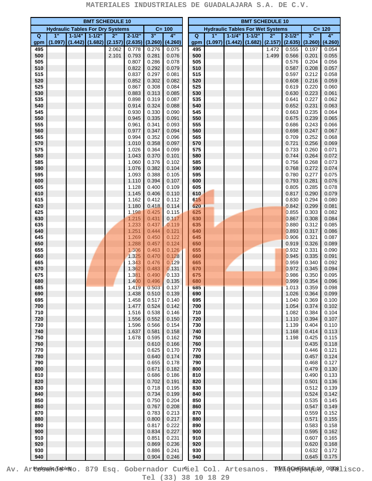| <b>BMT SCHEDULE 10</b> |                                         |            |            |                |                |                |                |  | <b>BMT SCHEDULE 10</b> |         |                                         |           |                |                |                |                |
|------------------------|-----------------------------------------|------------|------------|----------------|----------------|----------------|----------------|--|------------------------|---------|-----------------------------------------|-----------|----------------|----------------|----------------|----------------|
|                        | <b>Hydraulic Tables For Dry Systems</b> |            |            |                |                |                | $C = 100$      |  |                        |         | <b>Hydraulic Tables For Wet Systems</b> |           |                |                |                | $C = 120$      |
| $\overline{Q}$         | 1"                                      | $1 - 1/4"$ | $1 - 1/2"$ | 2"             | $2 - 1/2"$     | 3"             | 4"             |  | $\overline{Q}$         | 1"      | $1 - 1/4"$                              | $1 - 1/2$ | 2"             | $2 - 1/2"$     | 3"             | 4"             |
| gpm                    | (1.097)                                 | (1.442)    | (1.682)    | (2.157)        | (2.635)        | (3.260)        | (4.260)        |  | gpm                    | (1.097) | (1.442)                                 | (1.682)   | (2.157)        | (2.635)        | (3.260)        | (4.260)        |
| 495<br>500             |                                         |            |            | 2.062<br>2.101 | 0.778<br>0.793 | 0.276<br>0.281 | 0.075<br>0.076 |  | 495<br>500             |         |                                         |           | 1.472<br>1.499 | 0.555<br>0.566 | 0.197<br>0.201 | 0.054<br>0.055 |
| 505                    |                                         |            |            |                | 0.807          | 0.286          | 0.078          |  | 505                    |         |                                         |           |                | 0.576          | 0.204          | 0.056          |
| 510                    |                                         |            |            |                | 0.822          | 0.292          | 0.079          |  | 510                    |         |                                         |           |                | 0.587          | 0.208          | 0.057          |
| 515                    |                                         |            |            |                | 0.837          | 0.297          | 0.081          |  | 515                    |         |                                         |           |                | 0.597          | 0.212          | 0.058          |
| 520                    |                                         |            |            |                | 0.852          | 0.302          | 0.082          |  | 520                    |         |                                         |           |                | 0.608          | 0.216          | 0.059          |
| 525                    |                                         |            |            |                | 0.867          | 0.308          | 0.084          |  | 525                    |         |                                         |           |                | 0.619          | 0.220          | 0.060          |
| 530                    |                                         |            |            |                | 0.883          | 0.313          | 0.085          |  | 530                    |         |                                         |           |                | 0.630          | 0.223          | 0.061          |
| 535                    |                                         |            |            |                | 0.898          | 0.319          | 0.087          |  | 535                    |         |                                         |           |                | 0.641          | 0.227          | 0.062          |
| 540<br>545             |                                         |            |            |                | 0.914<br>0.930 | 0.324<br>0.330 | 0.088<br>0.090 |  | 540<br>545             |         |                                         |           |                | 0.652<br>0.663 | 0.231<br>0.235 | 0.063<br>0.064 |
| 550                    |                                         |            |            |                | 0.945          | 0.335          | 0.091          |  | 550                    |         |                                         |           |                | 0.675          | 0.239          | 0.065          |
| 555                    |                                         |            |            |                | 0.961          | 0.341          | 0.093          |  | 555                    |         |                                         |           |                | 0.686          | 0.243          | 0.066          |
| 560                    |                                         |            |            |                | 0.977          | 0.347          | 0.094          |  | 560                    |         |                                         |           |                | 0.698          | 0.247          | 0.067          |
| 565                    |                                         |            |            |                | 0.994          | 0.352          | 0.096          |  | 565                    |         |                                         |           |                | 0.709          | 0.252          | 0.068          |
| 570                    |                                         |            |            |                | 1.010          | 0.358          | 0.097          |  | 570                    |         |                                         |           |                | 0.721          | 0.256          | 0.069          |
| 575                    |                                         |            |            |                | 1.026          | 0.364          | 0.099          |  | 575                    |         |                                         |           |                | 0.733          | 0.260          | 0.071          |
| 580<br>585             |                                         |            |            |                | 1.043<br>1.060 | 0.370<br>0.376 | 0.101<br>0.102 |  | 580<br>585             |         |                                         |           |                | 0.744<br>0.756 | 0.264<br>0.268 | 0.072<br>0.073 |
| 590                    |                                         |            |            |                | 1.076          | 0.382          | 0.104          |  | 590                    |         |                                         |           |                | 0.768          | 0.272          | 0.074          |
| 595                    |                                         |            |            |                | 1.093          | 0.388          | 0.105          |  | 595                    |         |                                         |           |                | 0.780          | 0.277          | 0.075          |
| 600                    |                                         |            |            |                | 1.110          | 0.394          | 0.107          |  | 600                    |         |                                         |           |                | 0.793          | 0.281          | 0.076          |
| 605                    |                                         |            |            |                | 1.128          | 0.400          | 0.109          |  | 605                    |         |                                         |           |                | 0.805          | 0.285          | 0.078          |
| 610                    |                                         |            |            |                | 1.145          | 0.406          | 0.110          |  | 610                    |         |                                         |           |                | 0.817          | 0.290          | 0.079          |
| 615                    |                                         |            |            |                | 1.162          | 0.412          | 0.112          |  | 615                    |         |                                         |           |                | 0.830          | 0.294          | 0.080          |
| 620<br>625             |                                         |            |            |                | 1.180<br>1.198 | 0.418<br>0.425 | 0.114<br>0.115 |  | 620<br>625             |         |                                         |           |                | 0.842<br>0.855 | 0.299<br>0.303 | 0.081<br>0.082 |
| 630                    |                                         |            |            |                | 1.215          | 0.431          | 0.117          |  | 630                    |         |                                         |           |                | 0.867          | 0.308          | 0.084          |
| 635                    |                                         |            |            |                | 1.233          | 0.437          | 0.119          |  | 635                    |         |                                         |           |                | 0.880          | 0.312          | 0.085          |
| 640                    |                                         |            |            |                | 1.251          | 0.444          | 0.121          |  | 640                    |         |                                         |           |                | 0.893          | 0.317          | 0.086          |
| 645                    |                                         |            |            |                | 1.269          | 0.450          | 0.122          |  | 645                    |         |                                         |           |                | 0.906          | 0.321          | 0.087          |
| 650                    |                                         |            |            |                | 1.288          | 0.457          | 0.124          |  | 650                    |         |                                         |           |                | 0.919          | 0.326          | 0.089          |
| 655                    |                                         |            |            |                | 1.306          | 0.463          | 0.126          |  | 655                    |         |                                         |           |                | 0.932          | 0.331          | 0.090          |
| 660<br>665             |                                         |            |            |                | 1.325<br>1.343 | 0.470<br>0.476 | 0.128<br>0.129 |  | 660                    |         |                                         |           |                | 0.945<br>0.959 | 0.335<br>0.340 | 0.091<br>0.092 |
| 670                    |                                         |            |            |                | 1.362          | 0.483          | 0.131          |  | 665<br>670             |         |                                         |           |                | 0.972          | 0.345          | 0.094          |
| 675                    |                                         |            |            |                | 1.381          | 0.490          | 0.133          |  | 675                    |         |                                         |           |                | 0.986          | 0.350          | 0.095          |
| 680                    |                                         |            |            |                | 1.400          | 0.496          | 0.135          |  | 680                    |         |                                         |           |                | 0.999          | 0.354          | 0.096          |
| 685                    |                                         |            |            |                | 1.419          | 0.503          | 0.137          |  | 685                    |         |                                         |           |                | 1.013          | 0.359          | 0.098          |
| 690                    |                                         |            |            |                | 1.438          | 0.510          | 0.139          |  | 690                    |         |                                         |           |                | 1.026          | 0.364          | 0.099          |
| 695                    |                                         |            |            |                | 1.458          | 0.517          | 0.140          |  | 695                    |         |                                         |           |                | 1.040          | 0.369          | 0.100          |
| 700<br>710             |                                         |            |            |                | 1.477          | 0.524<br>0.538 | 0.142<br>0.146 |  | 700<br>710             |         |                                         |           |                | 1.054          | 0.374<br>0.384 | 0.102          |
| 720                    |                                         |            |            |                | 1.516<br>1.556 | 0.552          | 0.150          |  | 720                    |         |                                         |           |                | 1.082<br>1.110 | 0.394          | 0.104<br>0.107 |
| 730                    |                                         |            |            |                | 1.596          | 0.566          | 0.154          |  | 730                    |         |                                         |           |                | 1.139          | 0.404          | 0.110          |
| 740                    |                                         |            |            |                | 1.637          | 0.581          | 0.158          |  | 740                    |         |                                         |           |                | 1.168          | 0.414          | 0.113          |
| 750                    |                                         |            |            |                | 1.678          | 0.595          | 0.162          |  | 750                    |         |                                         |           |                | 1.198          | 0.425          | 0.115          |
| 760                    |                                         |            |            |                |                | 0.610          | 0.166          |  | 760                    |         |                                         |           |                |                | 0.435          | 0.118          |
| 770                    |                                         |            |            |                |                | 0.625          | 0.170          |  | 770                    |         |                                         |           |                |                | 0.446          | 0.121          |
| 780<br>790             |                                         |            |            |                |                | 0.640<br>0.655 | 0.174<br>0.178 |  | 780<br>790             |         |                                         |           |                |                | 0.457<br>0.468 | 0.124<br>0.127 |
| 800                    |                                         |            |            |                |                | 0.671          | 0.182          |  | 800                    |         |                                         |           |                |                | 0.479          | 0.130          |
| 810                    |                                         |            |            |                |                | 0.686          | 0.186          |  | 810                    |         |                                         |           |                |                | 0.490          | 0.133          |
| 820                    |                                         |            |            |                |                | 0.702          | 0.191          |  | 820                    |         |                                         |           |                |                | 0.501          | 0.136          |
| 830                    |                                         |            |            |                |                | 0.718          | 0.195          |  | 830                    |         |                                         |           |                |                | 0.512          | 0.139          |
| 840                    |                                         |            |            |                |                | 0.734          | 0.199          |  | 840                    |         |                                         |           |                |                | 0.524          | 0.142          |
| 850                    |                                         |            |            |                |                | 0.750          | 0.204          |  | 850                    |         |                                         |           |                |                | 0.535          | 0.145          |
| 860                    |                                         |            |            |                |                | 0.767          | 0.208          |  | 860                    |         |                                         |           |                |                | 0.547          | 0.149          |
| 870<br>880             |                                         |            |            |                |                | 0.783<br>0.800 | 0.213<br>0.217 |  | 870<br>880             |         |                                         |           |                |                | 0.559<br>0.571 | 0.152<br>0.155 |
| 890                    |                                         |            |            |                |                | 0.817          | 0.222          |  | 890                    |         |                                         |           |                |                | 0.583          | 0.158          |
| 900                    |                                         |            |            |                |                | 0.834          | 0.227          |  | 900                    |         |                                         |           |                |                | 0.595          | 0.162          |
| 910                    |                                         |            |            |                |                | 0.851          | 0.231          |  | 910                    |         |                                         |           |                |                | 0.607          | 0.165          |
| 920                    |                                         |            |            |                |                | 0.869          | 0.236          |  | 920                    |         |                                         |           |                |                | 0.620          | 0.168          |
| 930                    |                                         |            |            |                |                | 0.886          | 0.241          |  | 930                    |         |                                         |           |                |                | 0.632          | 0.172          |
| 940                    |                                         |            |            |                |                | 0.904          | 0.246          |  | 940                    |         |                                         |           |                |                | 0.645          | 0.175          |

Av. Ar**tydsulid a**bleno. 879 Esq. Gobernador Curciel Col. Artesanos. BM 5 Gu<del>lp</del>au Eu , O W 1 isco. **Tel (33) 38 10 18 29**